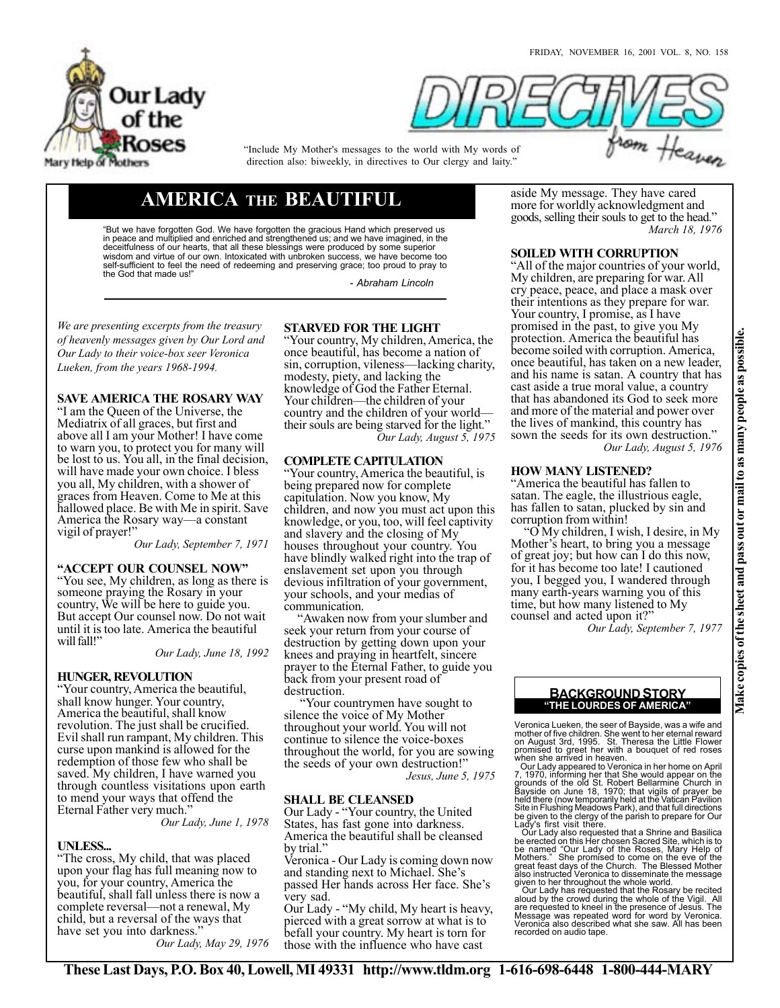



"Include My Mother's messages to the world with My words of direction also: biweekly, in directives to Our clergy and laity."

# **AMERICA THE BEAUTIFUL**

"But we have forgotten God. We have forgotten the gracious Hand which preserved us in peace and multiplied and enriched and strengthened us; and we have imagined, in the deceitfulness of our hearts, that all these blessings were produced by some superior wisdom and virtue of our own. Intoxicated with unbroken success, we have become too self-sufficient to feel the need of redeeming and preserving grace; too proud to pray to the God that made us!"

*- Abraham Lincoln*

*We are presenting excerpts from the treasury of heavenly messages given by Our Lord and Our Lady to their voice-box seer Veronica Lueken, from the years 1968-1994.*

# **SAVE AMERICA THE ROSARY WAY**

"I am the Queen of the Universe, the Mediatrix of all graces, but first and above all I am your Mother! I have come to warn you, to protect you for many will be lost to us. You all, in the final decision, will have made your own choice. I bless you all, My children, with a shower of graces from Heaven. Come to Me at this hallowed place. Be with Me in spirit. Save America the Rosary way—a constant vigil of prayer!"

*Our Lady, September 7, 1971*

**"ACCEPT OUR COUNSEL NOW"** "You see, My children, as long as there is someone praying the Rosary in your country, We will be here to guide you. But accept Our counsel now. Do not wait until it is too late. America the beautiful will fall!"

*Our Lady, June 18, 1992*

# **HUNGER, REVOLUTION**

"Your country, America the beautiful, shall know hunger. Your country, America the beautiful, shall know revolution. The just shall be crucified. Evil shall run rampant, My children. This curse upon mankind is allowed for the redemption of those few who shall be saved. My children, I have warned you through countless visitations upon earth to mend your ways that offend the Eternal Father very much."

*Our Lady, June 1, 1978*

# **UNLESS...**

"The cross, My child, that was placed upon your flag has full meaning now to you, for your country, America the beautiful, shall fall unless there is now a complete reversal—not a renewal, My child, but a reversal of the ways that have set you into darkness."

*Our Lady, May 29, 1976*

# **STARVED FOR THE LIGHT**

"Your country, My children, America, the once beautiful, has become a nation of sin, corruption, vileness—lacking charity, modesty, piety, and lacking the knowledge of God the Father Eternal. Your children—the children of your country and the children of your world their souls are being starved for the light." *Our Lady, August 5, 1975*

# **COMPLETE CAPITULATION**

"Your country, America the beautiful, is being prepared now for complete capitulation. Now you know, My children, and now you must act upon this knowledge, or you, too, will feel captivity and slavery and the closing of My houses throughout your country. You have blindly walked right into the trap of enslavement set upon you through devious infiltration of your government, your schools, and your medias of communication.

 "Awaken now from your slumber and seek your return from your course of destruction by getting down upon your knees and praying in heartfelt, sincere prayer to the Eternal Father, to guide you back from your present road of destruction.

 "Your countrymen have sought to silence the voice of My Mother throughout your world. You will not continue to silence the voice-boxes throughout the world, for you are sowing the seeds of your own destruction!" *Jesus, June 5, 1975*

# **SHALL BE CLEANSED**

Our Lady - "Your country, the United States, has fast gone into darkness. America the beautiful shall be cleansed by trial."

Veronica - Our Lady is coming down now and standing next to Michael. She's passed Her hands across Her face. She's very sad.

Our Lady - "My child, My heart is heavy, pierced with a great sorrow at what is to befall your country. My heart is torn for those with the influence who have cast

aside My message. They have cared more for worldly acknowledgment and goods, selling their souls to get to the head." *March 18, 1976*

# **SOILED WITH CORRUPTION**

"All of the major countries of your world, My children, are preparing for war. All cry peace, peace, and place a mask over their intentions as they prepare for war. Your country, I promise, as I have promised in the past, to give you My protection. America the beautiful has become soiled with corruption. America, once beautiful, has taken on a new leader, and his name is satan. A country that has cast aside a true moral value, a country that has abandoned its God to seek more and more of the material and power over the lives of mankind, this country has sown the seeds for its own destruction." *Our Lady, August 5, 1976*

# **HOW MANY LISTENED?**

"America the beautiful has fallen to satan. The eagle, the illustrious eagle, has fallen to satan, plucked by sin and corruption from within!

 "O My children, I wish, I desire, in My Mother's heart, to bring you a message of great joy; but how can I do this now, for it has become too late! I cautioned you, I begged you, I wandered through many earth-years warning you of this time, but how many listened to My counsel and acted upon it?"

*Our Lady, September 7, 1977*

# **"THE LOURDES OF AMERICA" BACKGROUND STORY**

Veronica Lueken, the seer of Bayside, was a wife and mother of five children. She went to her eternal reward<br>on August 3rd, 1995. St. Theresa the Little Flower<br>promised to greet her with a bouquet of red roses<br>when she arrived in heaven.<br>Our Lady appeared to Veronica in her

7, 1970, informing her that She would appear on the<br>grounds of the old St. Robert Bellarmine Church in<br>Bayside on June 18, 1970; that vigils of prayer be<br>held there (now temporarily held at the Vatican Pavilion<br>Site in Flu Lady's first visit there.

Our Lady also requested that a Shrine and Basilica<br>be erected on this Her chosen Sacred Site, which is to<br>be named "Our Lady of the Roses, Mary Help of<br>Mothers." She promised to come on the eve of the<br>great feast days of t

given to her throughout the whole world.<br>Our Lady has requested that the Rosary be recited<br>aloud by the crowd during the whole of the Vigil. All<br>are requested to kneel in the presence of Jesus. The<br>Message was repeated wor recorded on audio tape.